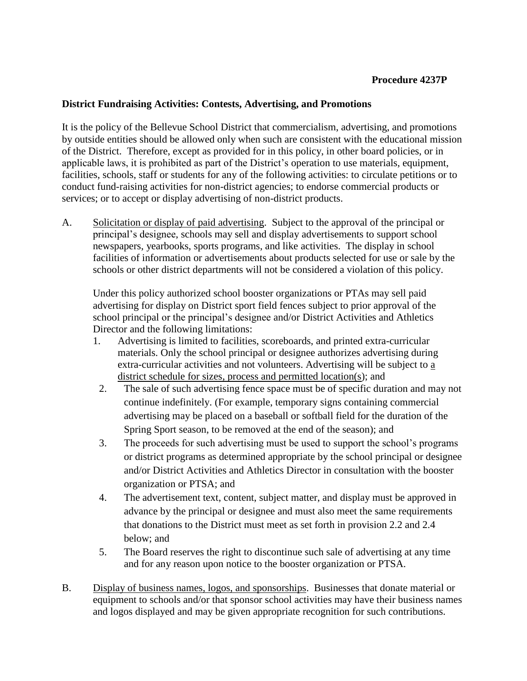## **Procedure 4237P**

## **District Fundraising Activities: Contests, Advertising, and Promotions**

It is the policy of the Bellevue School District that commercialism, advertising, and promotions by outside entities should be allowed only when such are consistent with the educational mission of the District. Therefore, except as provided for in this policy, in other board policies, or in applicable laws, it is prohibited as part of the District's operation to use materials, equipment, facilities, schools, staff or students for any of the following activities: to circulate petitions or to conduct fund-raising activities for non-district agencies; to endorse commercial products or services; or to accept or display advertising of non-district products.

A. Solicitation or display of paid advertising. Subject to the approval of the principal or principal's designee, schools may sell and display advertisements to support school newspapers, yearbooks, sports programs, and like activities. The display in school facilities of information or advertisements about products selected for use or sale by the schools or other district departments will not be considered a violation of this policy.

Under this policy authorized school booster organizations or PTAs may sell paid advertising for display on District sport field fences subject to prior approval of the school principal or the principal's designee and/or District Activities and Athletics Director and the following limitations:

- 1. Advertising is limited to facilities, scoreboards, and printed extra-curricular materials. Only the school principal or designee authorizes advertising during extra-curricular activities and not volunteers. Advertising will be subject to a district schedule for sizes, process and permitted location(s); and
- 2. The sale of such advertising fence space must be of specific duration and may not continue indefinitely. (For example, temporary signs containing commercial advertising may be placed on a baseball or softball field for the duration of the Spring Sport season, to be removed at the end of the season); and
- 3. The proceeds for such advertising must be used to support the school's programs or district programs as determined appropriate by the school principal or designee and/or District Activities and Athletics Director in consultation with the booster organization or PTSA; and
- 4. The advertisement text, content, subject matter, and display must be approved in advance by the principal or designee and must also meet the same requirements that donations to the District must meet as set forth in provision 2.2 and 2.4 below; and
- 5. The Board reserves the right to discontinue such sale of advertising at any time and for any reason upon notice to the booster organization or PTSA.
- B. Display of business names, logos, and sponsorships. Businesses that donate material or equipment to schools and/or that sponsor school activities may have their business names and logos displayed and may be given appropriate recognition for such contributions.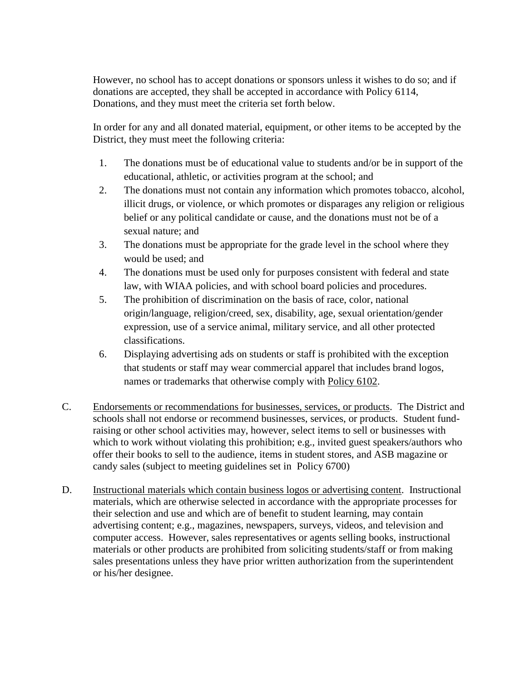However, no school has to accept donations or sponsors unless it wishes to do so; and if donations are accepted, they shall be accepted in accordance with Policy 6114, Donations, and they must meet the criteria set forth below.

In order for any and all donated material, equipment, or other items to be accepted by the District, they must meet the following criteria:

- 1. The donations must be of educational value to students and/or be in support of the educational, athletic, or activities program at the school; and
- 2. The donations must not contain any information which promotes tobacco, alcohol, illicit drugs, or violence, or which promotes or disparages any religion or religious belief or any political candidate or cause, and the donations must not be of a sexual nature; and
- 3. The donations must be appropriate for the grade level in the school where they would be used; and
- 4. The donations must be used only for purposes consistent with federal and state law, with WIAA policies, and with school board policies and procedures.
- 5. The prohibition of discrimination on the basis of race, color, national origin/language, religion/creed, sex, disability, age, sexual orientation/gender expression, use of a service animal, military service, and all other protected classifications.
- 6. Displaying advertising ads on students or staff is prohibited with the exception that students or staff may wear commercial apparel that includes brand logos, names or trademarks that otherwise comply with Policy 6102.
- C. Endorsements or recommendations for businesses, services, or products. The District and schools shall not endorse or recommend businesses, services, or products. Student fundraising or other school activities may, however, select items to sell or businesses with which to work without violating this prohibition; e.g., invited guest speakers/authors who offer their books to sell to the audience, items in student stores, and ASB magazine or candy sales (subject to meeting guidelines set in Policy 6700)
- D. Instructional materials which contain business logos or advertising content. Instructional materials, which are otherwise selected in accordance with the appropriate processes for their selection and use and which are of benefit to student learning, may contain advertising content; e.g., magazines, newspapers, surveys, videos, and television and computer access. However, sales representatives or agents selling books, instructional materials or other products are prohibited from soliciting students/staff or from making sales presentations unless they have prior written authorization from the superintendent or his/her designee.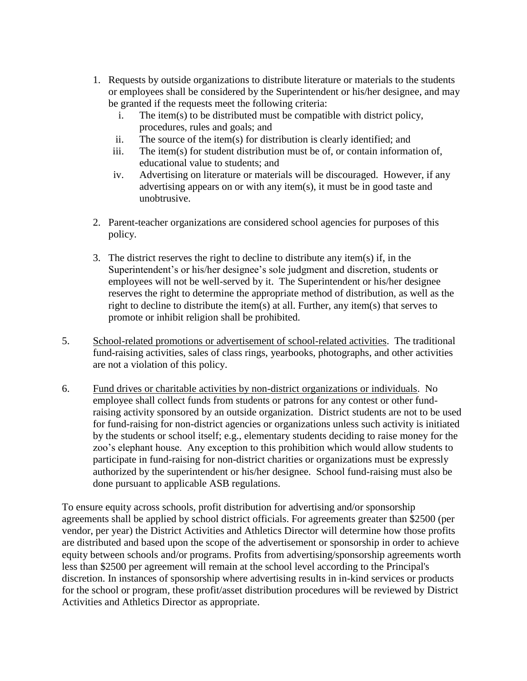- 1. Requests by outside organizations to distribute literature or materials to the students or employees shall be considered by the Superintendent or his/her designee, and may be granted if the requests meet the following criteria:
	- i. The item(s) to be distributed must be compatible with district policy, procedures, rules and goals; and
	- ii. The source of the item(s) for distribution is clearly identified; and
	- iii. The item(s) for student distribution must be of, or contain information of, educational value to students; and
	- iv. Advertising on literature or materials will be discouraged. However, if any advertising appears on or with any item(s), it must be in good taste and unobtrusive.
- 2. Parent-teacher organizations are considered school agencies for purposes of this policy.
- 3. The district reserves the right to decline to distribute any item(s) if, in the Superintendent's or his/her designee's sole judgment and discretion, students or employees will not be well-served by it. The Superintendent or his/her designee reserves the right to determine the appropriate method of distribution, as well as the right to decline to distribute the item(s) at all. Further, any item(s) that serves to promote or inhibit religion shall be prohibited.
- 5. School-related promotions or advertisement of school-related activities. The traditional fund-raising activities, sales of class rings, yearbooks, photographs, and other activities are not a violation of this policy.
- 6. Fund drives or charitable activities by non-district organizations or individuals. No employee shall collect funds from students or patrons for any contest or other fundraising activity sponsored by an outside organization. District students are not to be used for fund-raising for non-district agencies or organizations unless such activity is initiated by the students or school itself; e.g., elementary students deciding to raise money for the zoo's elephant house. Any exception to this prohibition which would allow students to participate in fund-raising for non-district charities or organizations must be expressly authorized by the superintendent or his/her designee. School fund-raising must also be done pursuant to applicable ASB regulations.

To ensure equity across schools, profit distribution for advertising and/or sponsorship agreements shall be applied by school district officials. For agreements greater than \$2500 (per vendor, per year) the District Activities and Athletics Director will determine how those profits are distributed and based upon the scope of the advertisement or sponsorship in order to achieve equity between schools and/or programs. Profits from advertising/sponsorship agreements worth less than \$2500 per agreement will remain at the school level according to the Principal's discretion. In instances of sponsorship where advertising results in in-kind services or products for the school or program, these profit/asset distribution procedures will be reviewed by District Activities and Athletics Director as appropriate.